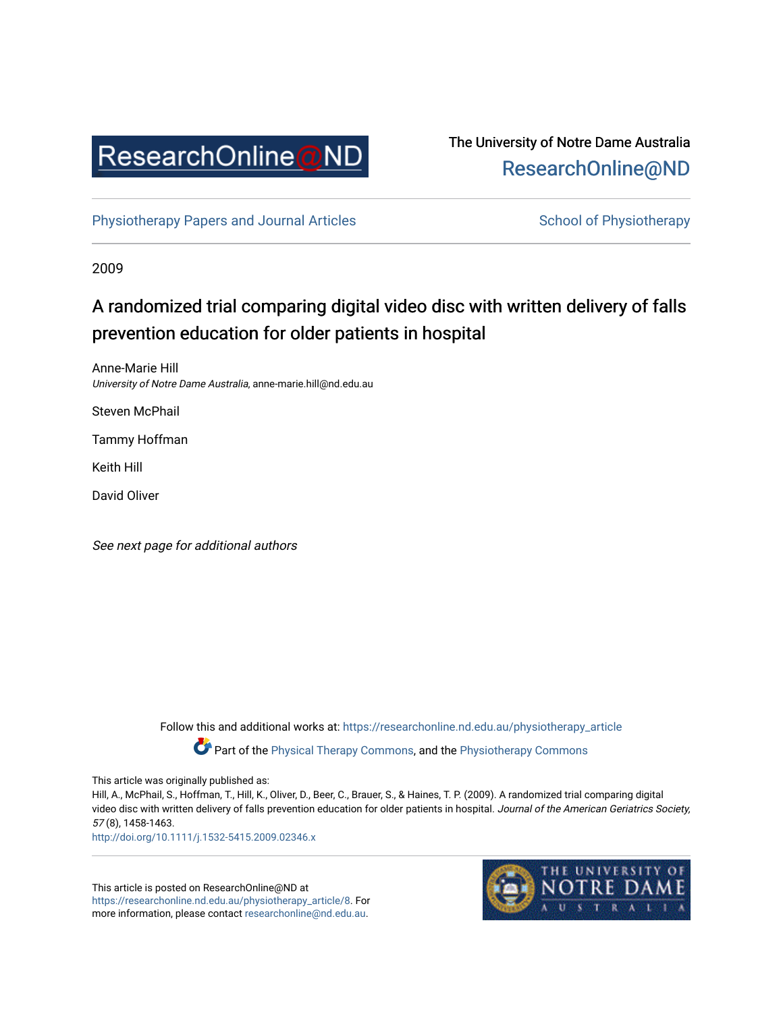

# The University of Notre Dame Australia [ResearchOnline@ND](https://researchonline.nd.edu.au/)

[Physiotherapy Papers and Journal Articles](https://researchonline.nd.edu.au/physiotherapy_article) [School of Physiotherapy](https://researchonline.nd.edu.au/physiotherapy) School of Physiotherapy

2009

# A randomized trial comparing digital video disc with written delivery of falls prevention education for older patients in hospital

Anne-Marie Hill University of Notre Dame Australia, anne-marie.hill@nd.edu.au

Steven McPhail

Tammy Hoffman

Keith Hill

David Oliver

See next page for additional authors

Follow this and additional works at: [https://researchonline.nd.edu.au/physiotherapy\\_article](https://researchonline.nd.edu.au/physiotherapy_article?utm_source=researchonline.nd.edu.au%2Fphysiotherapy_article%2F8&utm_medium=PDF&utm_campaign=PDFCoverPages) 

Part of the [Physical Therapy Commons,](http://network.bepress.com/hgg/discipline/754?utm_source=researchonline.nd.edu.au%2Fphysiotherapy_article%2F8&utm_medium=PDF&utm_campaign=PDFCoverPages) and the [Physiotherapy Commons](http://network.bepress.com/hgg/discipline/1086?utm_source=researchonline.nd.edu.au%2Fphysiotherapy_article%2F8&utm_medium=PDF&utm_campaign=PDFCoverPages) 

This article was originally published as:

Hill, A., McPhail, S., Hoffman, T., Hill, K., Oliver, D., Beer, C., Brauer, S., & Haines, T. P. (2009). A randomized trial comparing digital video disc with written delivery of falls prevention education for older patients in hospital. Journal of the American Geriatrics Society, 57 (8), 1458-1463.

<http://doi.org/10.1111/j.1532-5415.2009.02346.x>

This article is posted on ResearchOnline@ND at [https://researchonline.nd.edu.au/physiotherapy\\_article/8.](https://researchonline.nd.edu.au/physiotherapy_article/8) For more information, please contact [researchonline@nd.edu.au](mailto:researchonline@nd.edu.au).

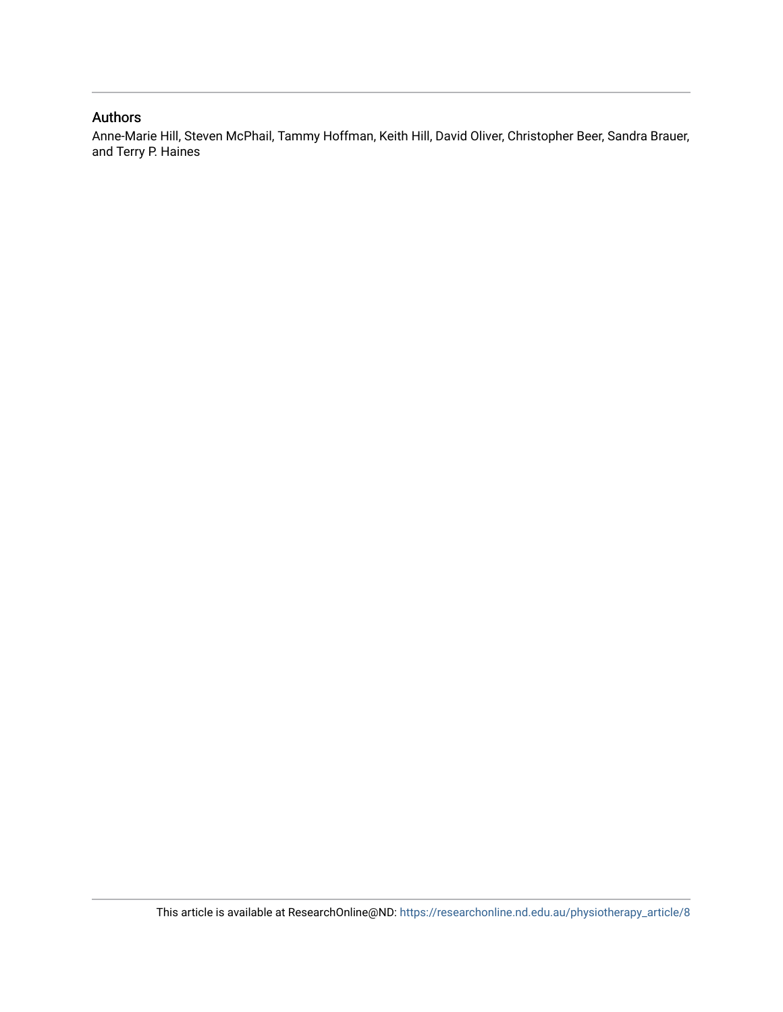#### Authors

Anne-Marie Hill, Steven McPhail, Tammy Hoffman, Keith Hill, David Oliver, Christopher Beer, Sandra Brauer, and Terry P. Haines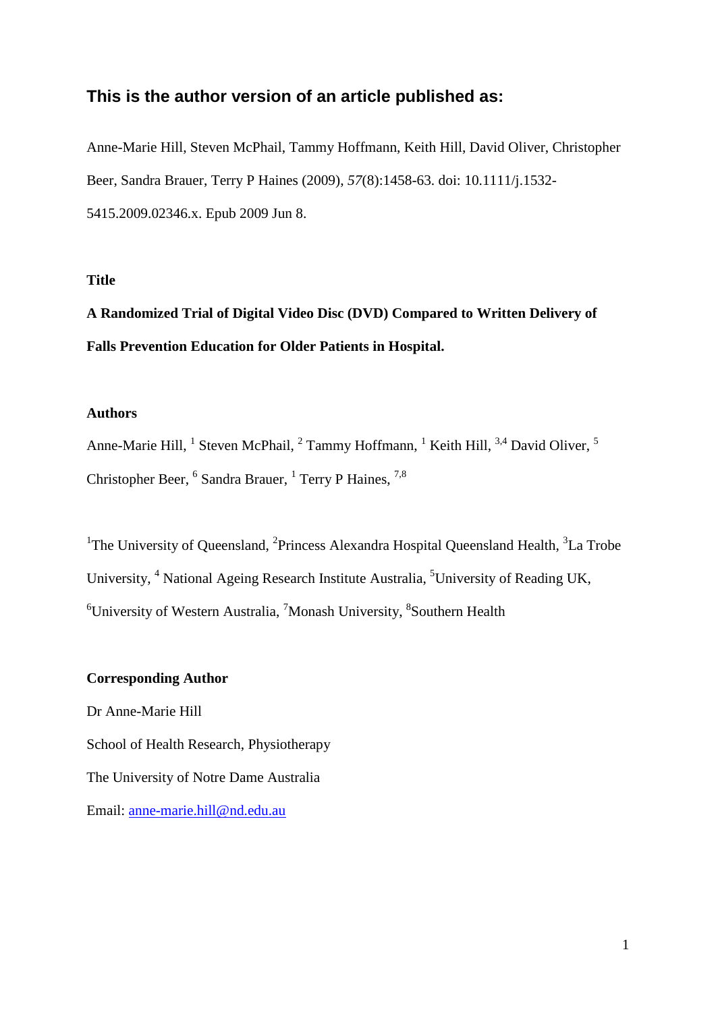# **This is the author version of an article published as:**

Anne-Marie Hill, Steven McPhail, Tammy Hoffmann, Keith Hill, David Oliver, Christopher Beer, Sandra Brauer, Terry P Haines (2009), *57*(8):1458-63. doi: 10.1111/j.1532- 5415.2009.02346.x. Epub 2009 Jun 8.

# **Title**

**A Randomized Trial of Digital Video Disc (DVD) Compared to Written Delivery of Falls Prevention Education for Older Patients in Hospital.**

### **Authors**

Anne-Marie Hill, <sup>1</sup> Steven McPhail, <sup>2</sup> Tammy Hoffmann, <sup>1</sup> Keith Hill, <sup>3,4</sup> David Oliver, <sup>5</sup> Christopher Beer, <sup>6</sup> Sandra Brauer, <sup>1</sup> Terry P Haines, <sup>7,8</sup>

<sup>1</sup>The University of Queensland, <sup>2</sup>Princess Alexandra Hospital Queensland Health, <sup>3</sup>La Trobe University, <sup>4</sup> National Ageing Research Institute Australia, <sup>5</sup>University of Reading UK, <sup>6</sup>University of Western Australia, <sup>7</sup>Monash University, <sup>8</sup>Southern Health

### **Corresponding Author**

Dr Anne-Marie Hill School of Health Research, Physiotherapy The University of Notre Dame Australia Email: [anne-marie.hill@nd.edu.au](mailto:anne-marie.hill@nd.edu.au)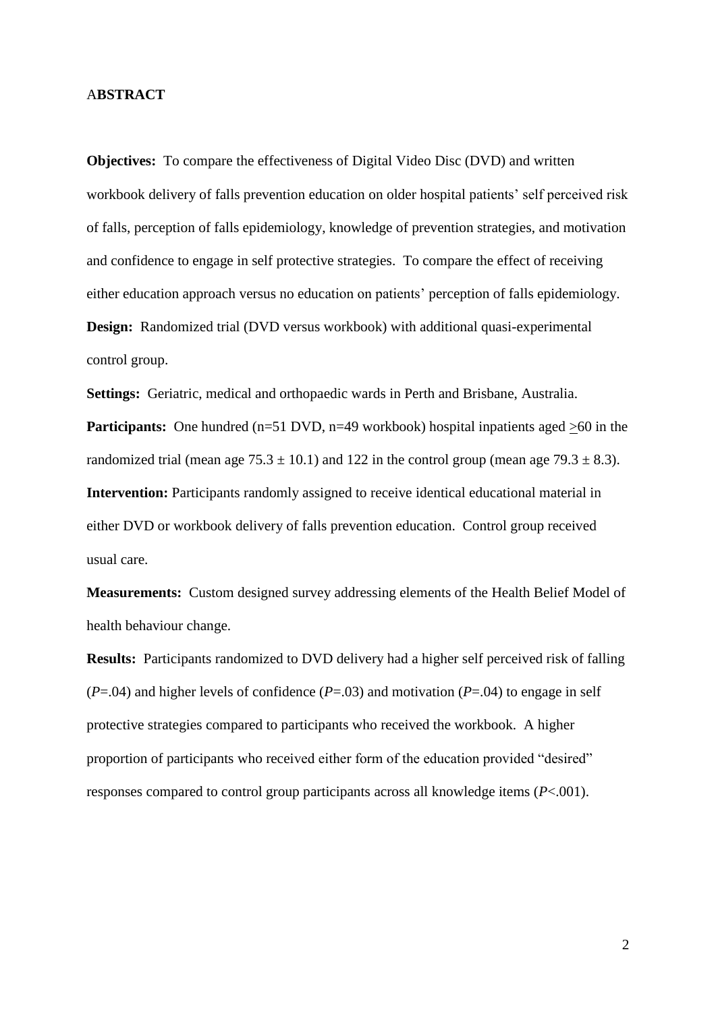#### A**BSTRACT**

**Objectives:** To compare the effectiveness of Digital Video Disc (DVD) and written workbook delivery of falls prevention education on older hospital patients' self perceived risk of falls, perception of falls epidemiology, knowledge of prevention strategies, and motivation and confidence to engage in self protective strategies. To compare the effect of receiving either education approach versus no education on patients' perception of falls epidemiology. **Design:** Randomized trial (DVD versus workbook) with additional quasi-experimental control group.

**Settings:** Geriatric, medical and orthopaedic wards in Perth and Brisbane, Australia. **Participants:** One hundred (n=51 DVD, n=49 workbook) hospital inpatients aged >60 in the randomized trial (mean age  $75.3 \pm 10.1$ ) and 122 in the control group (mean age  $79.3 \pm 8.3$ ). **Intervention:** Participants randomly assigned to receive identical educational material in either DVD or workbook delivery of falls prevention education. Control group received usual care.

**Measurements:** Custom designed survey addressing elements of the Health Belief Model of health behaviour change.

**Results:** Participants randomized to DVD delivery had a higher self perceived risk of falling (*P*=.04) and higher levels of confidence (*P*=.03) and motivation (*P*=.04) to engage in self protective strategies compared to participants who received the workbook. A higher proportion of participants who received either form of the education provided "desired" responses compared to control group participants across all knowledge items (*P*<.001).

2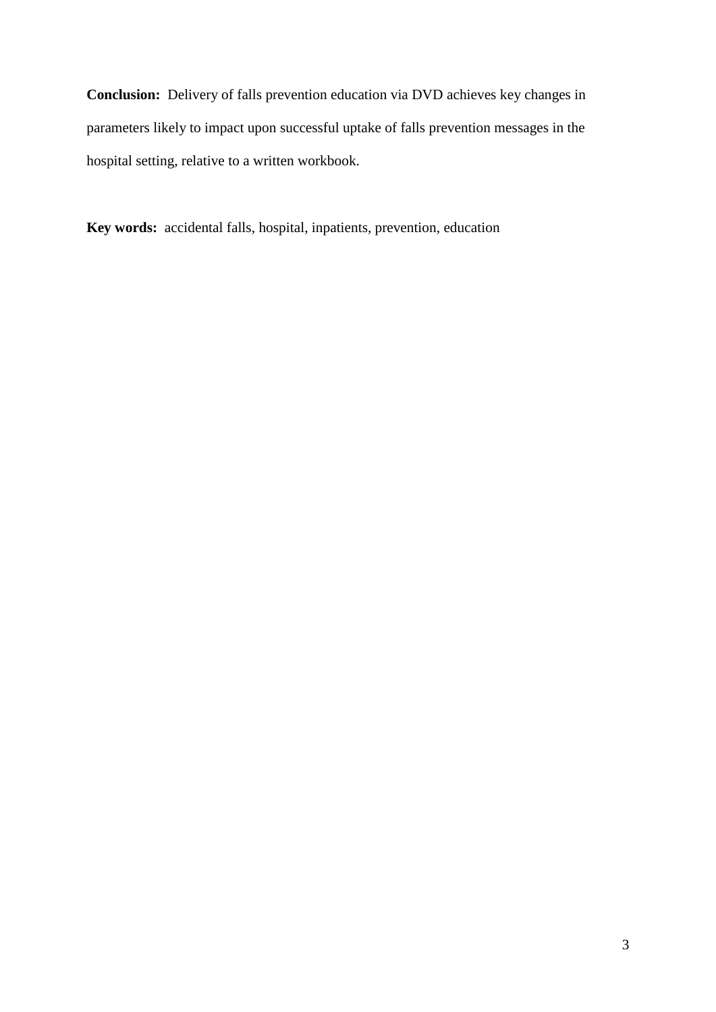**Conclusion:** Delivery of falls prevention education via DVD achieves key changes in parameters likely to impact upon successful uptake of falls prevention messages in the hospital setting, relative to a written workbook.

**Key words:** accidental falls, hospital, inpatients, prevention, education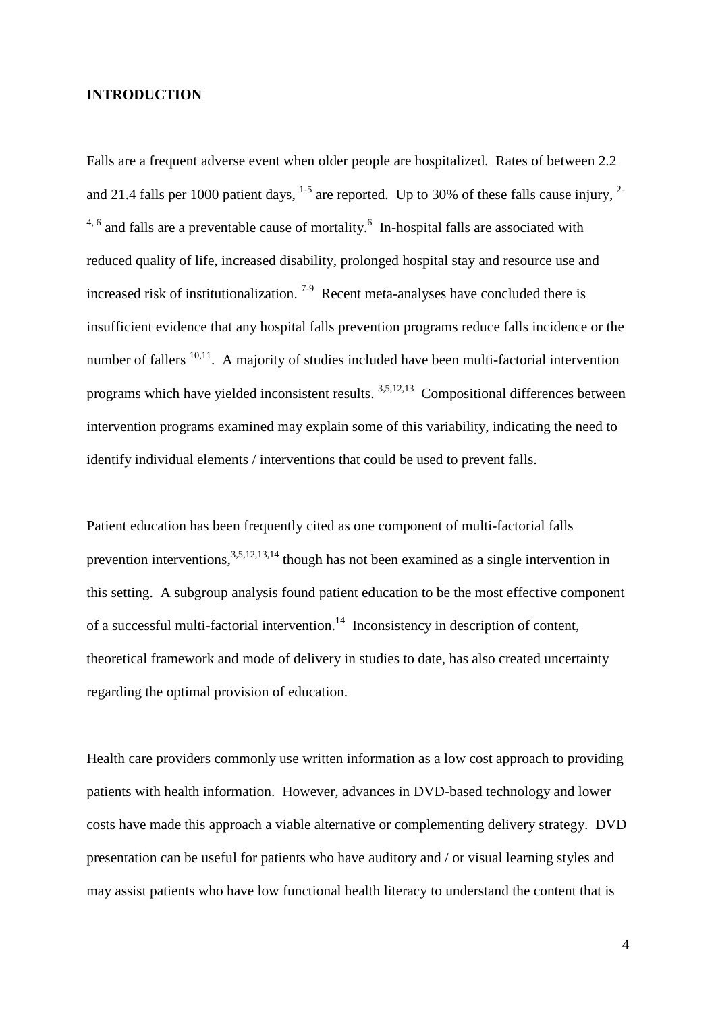#### **INTRODUCTION**

Falls are a frequent adverse event when older people are hospitalized. Rates of between 2.2 and 21.4 falls per 1000 patient days,  $1-5$  are reported. Up to 30% of these falls cause injury,  $2 4,6$  and falls are a preventable cause of mortality.<sup>6</sup> In-hospital falls are associated with reduced quality of life, increased disability, prolonged hospital stay and resource use and increased risk of institutionalization.<sup>7-9</sup> Recent meta-analyses have concluded there is insufficient evidence that any hospital falls prevention programs reduce falls incidence or the number of fallers  $10,11$ . A majority of studies included have been multi-factorial intervention programs which have yielded inconsistent results. <sup>3,5,12,13</sup> Compositional differences between intervention programs examined may explain some of this variability, indicating the need to identify individual elements / interventions that could be used to prevent falls.

Patient education has been frequently cited as one component of multi-factorial falls prevention interventions,  $3,5,12,13,14$  though has not been examined as a single intervention in this setting. A subgroup analysis found patient education to be the most effective component of a successful multi-factorial intervention.<sup>14</sup> Inconsistency in description of content, theoretical framework and mode of delivery in studies to date, has also created uncertainty regarding the optimal provision of education.

Health care providers commonly use written information as a low cost approach to providing patients with health information. However, advances in DVD-based technology and lower costs have made this approach a viable alternative or complementing delivery strategy. DVD presentation can be useful for patients who have auditory and / or visual learning styles and may assist patients who have low functional health literacy to understand the content that is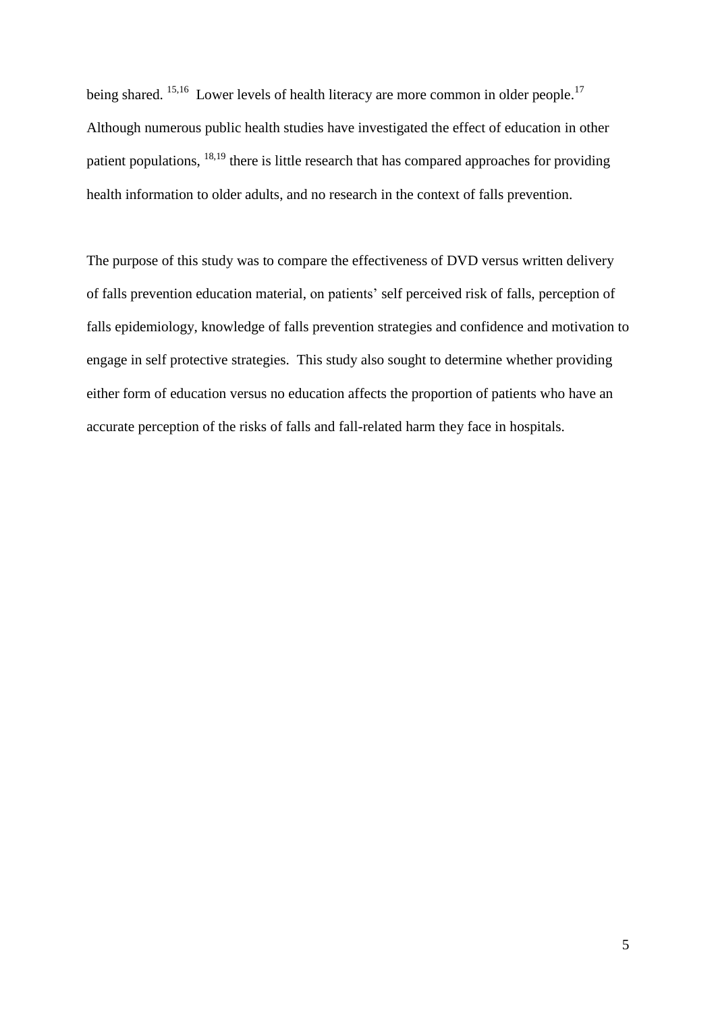being shared. <sup>15,16</sup> Lower levels of health literacy are more common in older people.<sup>17</sup> Although numerous public health studies have investigated the effect of education in other patient populations, <sup>18,19</sup> there is little research that has compared approaches for providing health information to older adults, and no research in the context of falls prevention.

The purpose of this study was to compare the effectiveness of DVD versus written delivery of falls prevention education material, on patients' self perceived risk of falls, perception of falls epidemiology, knowledge of falls prevention strategies and confidence and motivation to engage in self protective strategies. This study also sought to determine whether providing either form of education versus no education affects the proportion of patients who have an accurate perception of the risks of falls and fall-related harm they face in hospitals.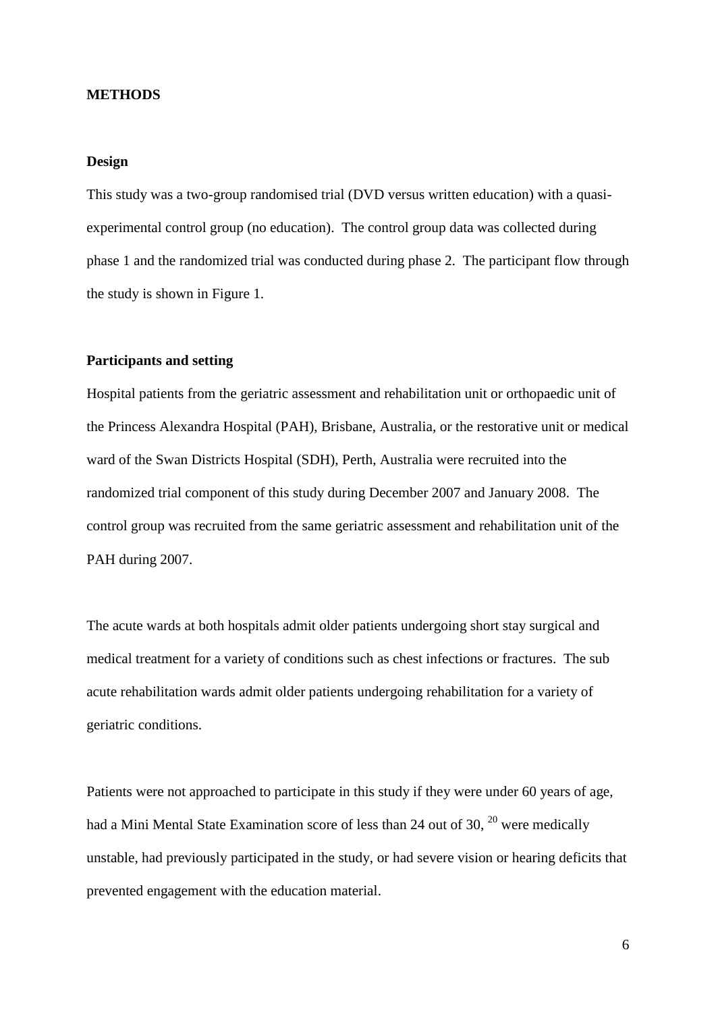#### **METHODS**

#### **Design**

This study was a two-group randomised trial (DVD versus written education) with a quasiexperimental control group (no education). The control group data was collected during phase 1 and the randomized trial was conducted during phase 2. The participant flow through the study is shown in Figure 1.

#### **Participants and setting**

Hospital patients from the geriatric assessment and rehabilitation unit or orthopaedic unit of the Princess Alexandra Hospital (PAH), Brisbane, Australia, or the restorative unit or medical ward of the Swan Districts Hospital (SDH), Perth, Australia were recruited into the randomized trial component of this study during December 2007 and January 2008. The control group was recruited from the same geriatric assessment and rehabilitation unit of the PAH during 2007.

The acute wards at both hospitals admit older patients undergoing short stay surgical and medical treatment for a variety of conditions such as chest infections or fractures. The sub acute rehabilitation wards admit older patients undergoing rehabilitation for a variety of geriatric conditions.

Patients were not approached to participate in this study if they were under 60 years of age, had a Mini Mental State Examination score of less than 24 out of 30,  $^{20}$  were medically unstable, had previously participated in the study, or had severe vision or hearing deficits that prevented engagement with the education material.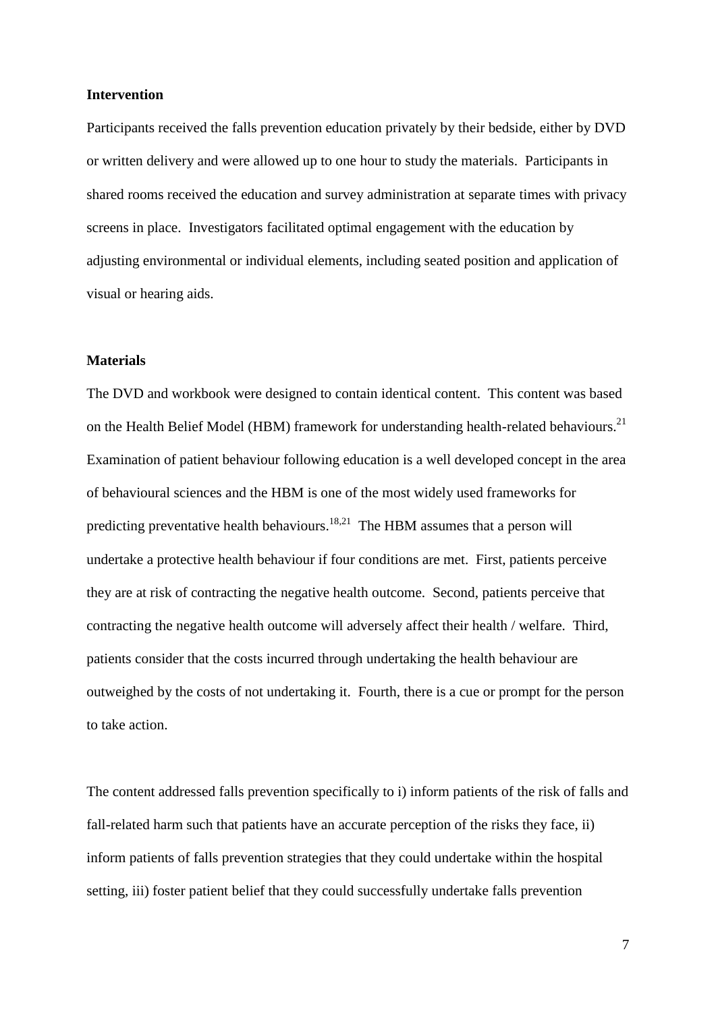#### **Intervention**

Participants received the falls prevention education privately by their bedside, either by DVD or written delivery and were allowed up to one hour to study the materials. Participants in shared rooms received the education and survey administration at separate times with privacy screens in place. Investigators facilitated optimal engagement with the education by adjusting environmental or individual elements, including seated position and application of visual or hearing aids.

#### **Materials**

The DVD and workbook were designed to contain identical content. This content was based on the Health Belief Model (HBM) framework for understanding health-related behaviours.<sup>21</sup> Examination of patient behaviour following education is a well developed concept in the area of behavioural sciences and the HBM is one of the most widely used frameworks for predicting preventative health behaviours.<sup>18,21</sup> The HBM assumes that a person will undertake a protective health behaviour if four conditions are met. First, patients perceive they are at risk of contracting the negative health outcome. Second, patients perceive that contracting the negative health outcome will adversely affect their health / welfare. Third, patients consider that the costs incurred through undertaking the health behaviour are outweighed by the costs of not undertaking it. Fourth, there is a cue or prompt for the person to take action.

The content addressed falls prevention specifically to i) inform patients of the risk of falls and fall-related harm such that patients have an accurate perception of the risks they face, ii) inform patients of falls prevention strategies that they could undertake within the hospital setting, iii) foster patient belief that they could successfully undertake falls prevention

7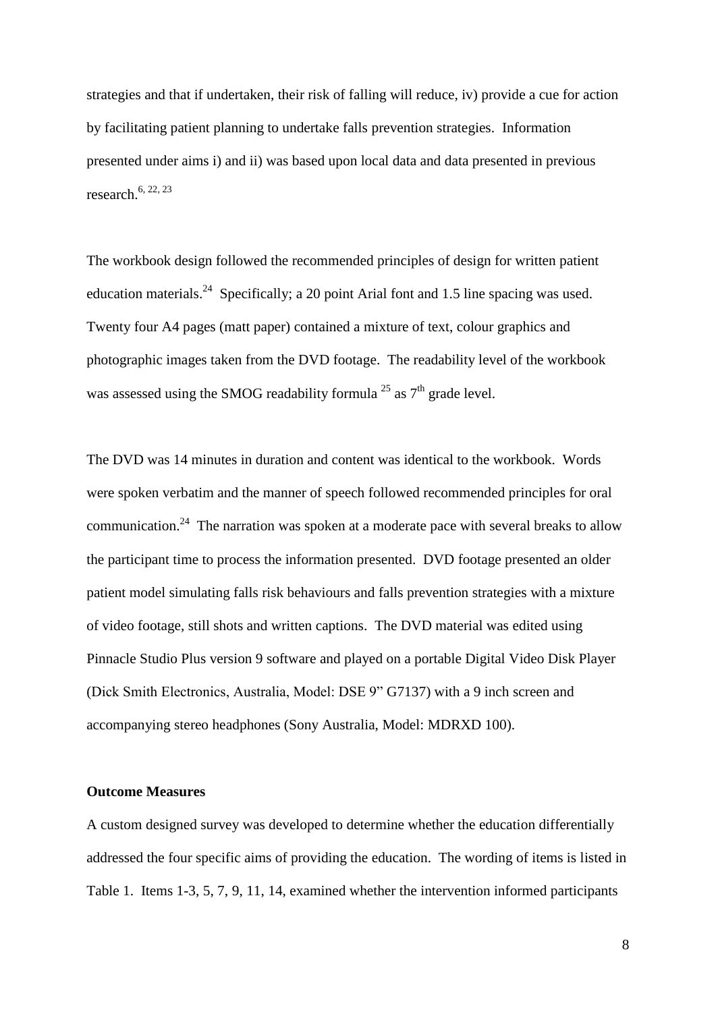strategies and that if undertaken, their risk of falling will reduce, iv) provide a cue for action by facilitating patient planning to undertake falls prevention strategies. Information presented under aims i) and ii) was based upon local data and data presented in previous research. 6, 22, 23

The workbook design followed the recommended principles of design for written patient education materials.<sup>24</sup> Specifically; a 20 point Arial font and 1.5 line spacing was used. Twenty four A4 pages (matt paper) contained a mixture of text, colour graphics and photographic images taken from the DVD footage. The readability level of the workbook was assessed using the SMOG readability formula  $^{25}$  as  $7<sup>th</sup>$  grade level.

The DVD was 14 minutes in duration and content was identical to the workbook. Words were spoken verbatim and the manner of speech followed recommended principles for oral communication.<sup>24</sup> The narration was spoken at a moderate pace with several breaks to allow the participant time to process the information presented. DVD footage presented an older patient model simulating falls risk behaviours and falls prevention strategies with a mixture of video footage, still shots and written captions. The DVD material was edited using Pinnacle Studio Plus version 9 software and played on a portable Digital Video Disk Player (Dick Smith Electronics, Australia, Model: DSE 9" G7137) with a 9 inch screen and accompanying stereo headphones (Sony Australia, Model: MDRXD 100).

## **Outcome Measures**

A custom designed survey was developed to determine whether the education differentially addressed the four specific aims of providing the education. The wording of items is listed in Table 1. Items 1-3, 5, 7, 9, 11, 14, examined whether the intervention informed participants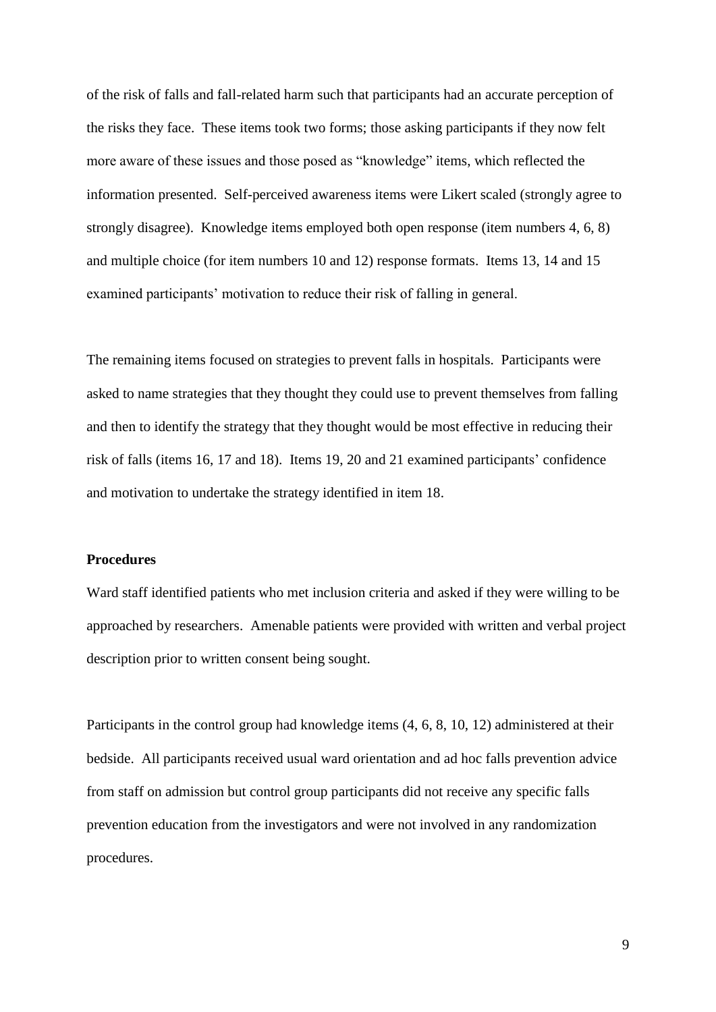of the risk of falls and fall-related harm such that participants had an accurate perception of the risks they face. These items took two forms; those asking participants if they now felt more aware of these issues and those posed as "knowledge" items, which reflected the information presented. Self-perceived awareness items were Likert scaled (strongly agree to strongly disagree). Knowledge items employed both open response (item numbers 4, 6, 8) and multiple choice (for item numbers 10 and 12) response formats. Items 13, 14 and 15 examined participants' motivation to reduce their risk of falling in general.

The remaining items focused on strategies to prevent falls in hospitals. Participants were asked to name strategies that they thought they could use to prevent themselves from falling and then to identify the strategy that they thought would be most effective in reducing their risk of falls (items 16, 17 and 18). Items 19, 20 and 21 examined participants' confidence and motivation to undertake the strategy identified in item 18.

### **Procedures**

Ward staff identified patients who met inclusion criteria and asked if they were willing to be approached by researchers. Amenable patients were provided with written and verbal project description prior to written consent being sought.

Participants in the control group had knowledge items (4, 6, 8, 10, 12) administered at their bedside. All participants received usual ward orientation and ad hoc falls prevention advice from staff on admission but control group participants did not receive any specific falls prevention education from the investigators and were not involved in any randomization procedures.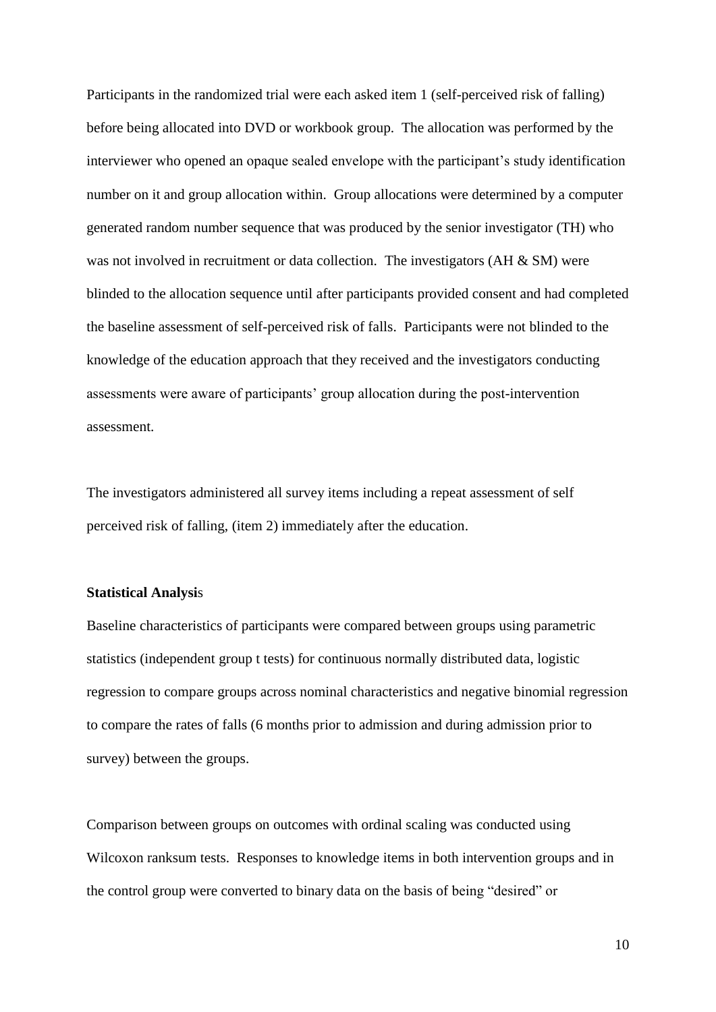Participants in the randomized trial were each asked item 1 (self-perceived risk of falling) before being allocated into DVD or workbook group. The allocation was performed by the interviewer who opened an opaque sealed envelope with the participant's study identification number on it and group allocation within. Group allocations were determined by a computer generated random number sequence that was produced by the senior investigator (TH) who was not involved in recruitment or data collection. The investigators (AH & SM) were blinded to the allocation sequence until after participants provided consent and had completed the baseline assessment of self-perceived risk of falls. Participants were not blinded to the knowledge of the education approach that they received and the investigators conducting assessments were aware of participants' group allocation during the post-intervention assessment.

The investigators administered all survey items including a repeat assessment of self perceived risk of falling, (item 2) immediately after the education.

#### **Statistical Analysi**s

Baseline characteristics of participants were compared between groups using parametric statistics (independent group t tests) for continuous normally distributed data, logistic regression to compare groups across nominal characteristics and negative binomial regression to compare the rates of falls (6 months prior to admission and during admission prior to survey) between the groups.

Comparison between groups on outcomes with ordinal scaling was conducted using Wilcoxon ranksum tests. Responses to knowledge items in both intervention groups and in the control group were converted to binary data on the basis of being "desired" or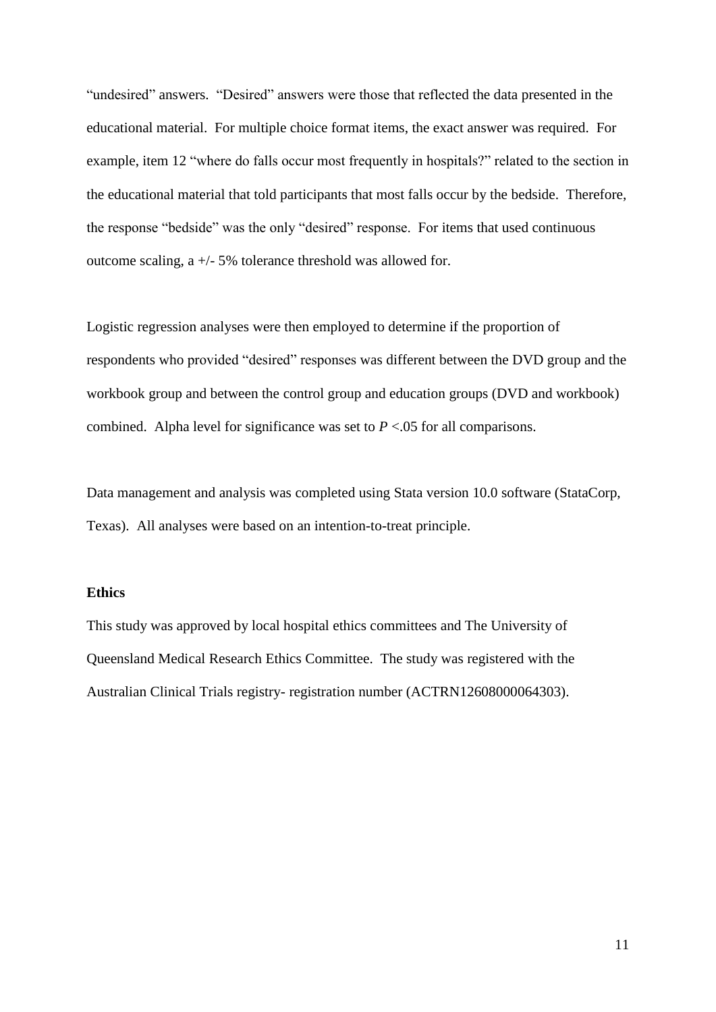"undesired" answers. "Desired" answers were those that reflected the data presented in the educational material. For multiple choice format items, the exact answer was required. For example, item 12 "where do falls occur most frequently in hospitals?" related to the section in the educational material that told participants that most falls occur by the bedside. Therefore, the response "bedside" was the only "desired" response. For items that used continuous outcome scaling, a +/- 5% tolerance threshold was allowed for.

Logistic regression analyses were then employed to determine if the proportion of respondents who provided "desired" responses was different between the DVD group and the workbook group and between the control group and education groups (DVD and workbook) combined. Alpha level for significance was set to  $P < 0.05$  for all comparisons.

Data management and analysis was completed using Stata version 10.0 software (StataCorp, Texas). All analyses were based on an intention-to-treat principle.

# **Ethics**

This study was approved by local hospital ethics committees and The University of Queensland Medical Research Ethics Committee. The study was registered with the Australian Clinical Trials registry- registration number (ACTRN12608000064303).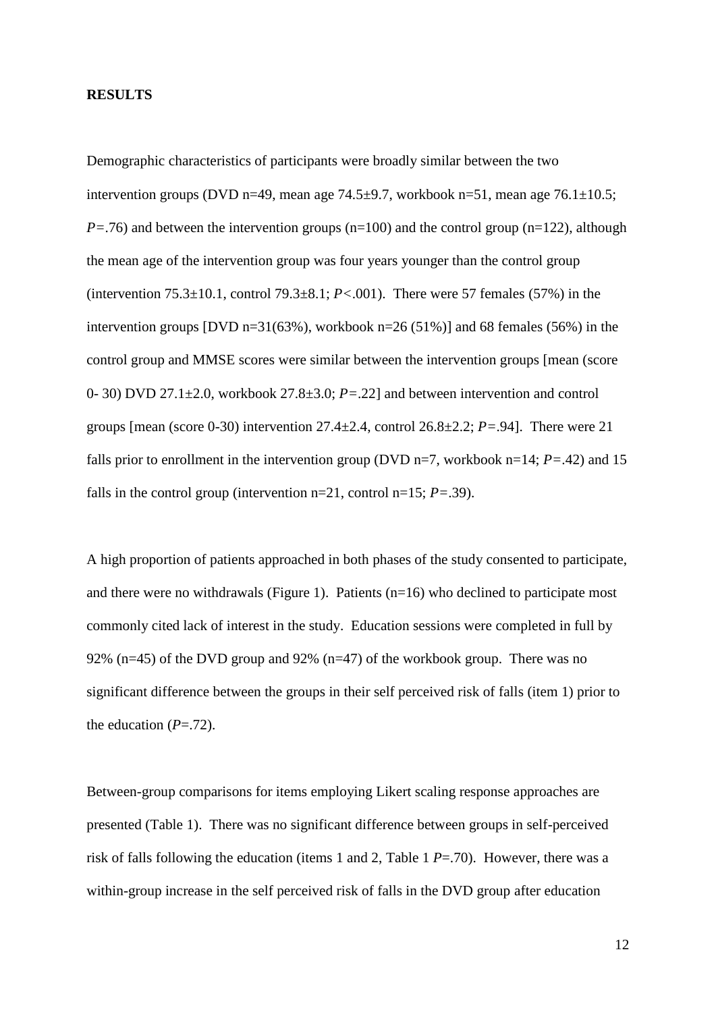#### **RESULTS**

Demographic characteristics of participants were broadly similar between the two intervention groups (DVD n=49, mean age 74.5 $\pm$ 9.7, workbook n=51, mean age 76.1 $\pm$ 10.5; *P*=.76) and between the intervention groups (n=100) and the control group (n=122), although the mean age of the intervention group was four years younger than the control group (intervention 75.3±10.1, control 79.3±8.1; *P<*.001). There were 57 females (57%) in the intervention groups [DVD n=31(63%), workbook n=26 (51%)] and 68 females (56%) in the control group and MMSE scores were similar between the intervention groups [mean (score 0- 30) DVD 27.1±2.0, workbook 27.8±3.0; *P=*.22] and between intervention and control groups [mean (score 0-30) intervention 27.4±2.4, control 26.8±2.2; *P=*.94]. There were 21 falls prior to enrollment in the intervention group (DVD n=7, workbook n=14;  $P = .42$ ) and 15 falls in the control group (intervention  $n=21$ , control  $n=15$ ;  $P=.39$ ).

A high proportion of patients approached in both phases of the study consented to participate, and there were no withdrawals (Figure 1). Patients  $(n=16)$  who declined to participate most commonly cited lack of interest in the study. Education sessions were completed in full by 92% (n=45) of the DVD group and 92% (n=47) of the workbook group. There was no significant difference between the groups in their self perceived risk of falls (item 1) prior to the education  $(P=.72)$ .

Between-group comparisons for items employing Likert scaling response approaches are presented (Table 1). There was no significant difference between groups in self-perceived risk of falls following the education (items 1 and 2, Table 1 *P*=.70). However, there was a within-group increase in the self perceived risk of falls in the DVD group after education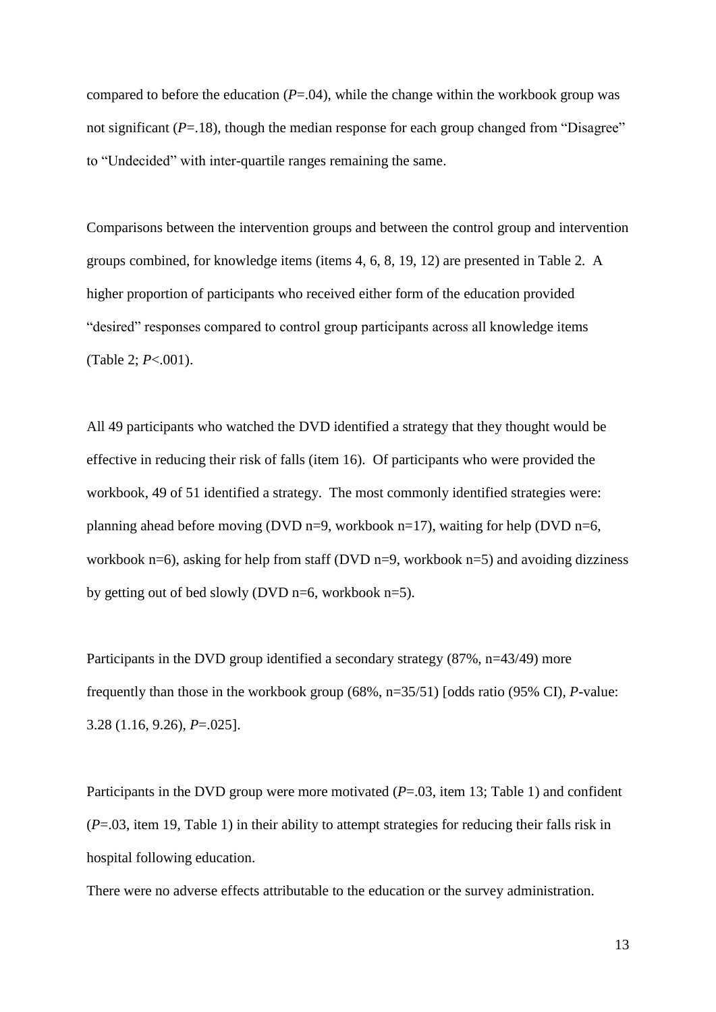compared to before the education  $(P=0.04)$ , while the change within the workbook group was not significant  $(P=18)$ , though the median response for each group changed from "Disagree" to "Undecided" with inter-quartile ranges remaining the same.

Comparisons between the intervention groups and between the control group and intervention groups combined, for knowledge items (items 4, 6, 8, 19, 12) are presented in Table 2. A higher proportion of participants who received either form of the education provided "desired" responses compared to control group participants across all knowledge items (Table 2; *P*<.001).

All 49 participants who watched the DVD identified a strategy that they thought would be effective in reducing their risk of falls (item 16). Of participants who were provided the workbook, 49 of 51 identified a strategy. The most commonly identified strategies were: planning ahead before moving (DVD n=9, workbook n=17), waiting for help (DVD n=6, workbook n=6), asking for help from staff (DVD n=9, workbook n=5) and avoiding dizziness by getting out of bed slowly (DVD  $n=6$ , workbook  $n=5$ ).

Participants in the DVD group identified a secondary strategy (87%, n=43/49) more frequently than those in the workbook group (68%, n=35/51) [odds ratio (95% CI), *P*-value: 3.28 (1.16, 9.26), *P*=.025].

Participants in the DVD group were more motivated ( $P=.03$ , item 13; Table 1) and confident (*P*=.03, item 19, Table 1) in their ability to attempt strategies for reducing their falls risk in hospital following education.

There were no adverse effects attributable to the education or the survey administration.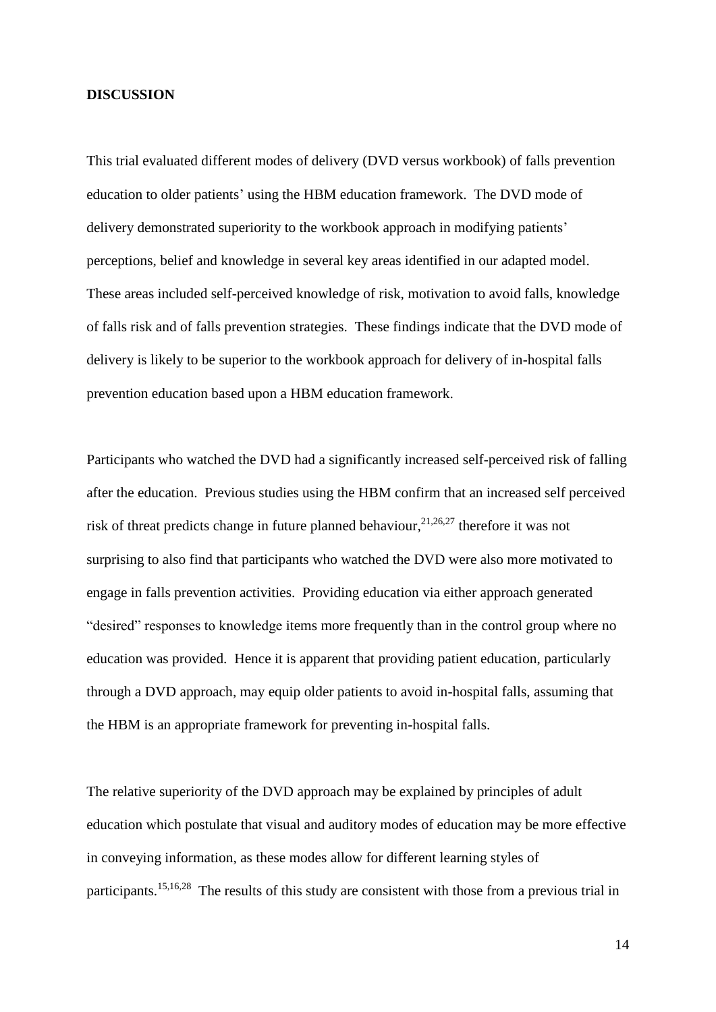#### **DISCUSSION**

This trial evaluated different modes of delivery (DVD versus workbook) of falls prevention education to older patients' using the HBM education framework. The DVD mode of delivery demonstrated superiority to the workbook approach in modifying patients' perceptions, belief and knowledge in several key areas identified in our adapted model. These areas included self-perceived knowledge of risk, motivation to avoid falls, knowledge of falls risk and of falls prevention strategies. These findings indicate that the DVD mode of delivery is likely to be superior to the workbook approach for delivery of in-hospital falls prevention education based upon a HBM education framework.

Participants who watched the DVD had a significantly increased self-perceived risk of falling after the education. Previous studies using the HBM confirm that an increased self perceived risk of threat predicts change in future planned behaviour, 21,26,27 therefore it was not surprising to also find that participants who watched the DVD were also more motivated to engage in falls prevention activities. Providing education via either approach generated "desired" responses to knowledge items more frequently than in the control group where no education was provided. Hence it is apparent that providing patient education, particularly through a DVD approach, may equip older patients to avoid in-hospital falls, assuming that the HBM is an appropriate framework for preventing in-hospital falls.

The relative superiority of the DVD approach may be explained by principles of adult education which postulate that visual and auditory modes of education may be more effective in conveying information, as these modes allow for different learning styles of participants.<sup>15,16,28</sup> The results of this study are consistent with those from a previous trial in

14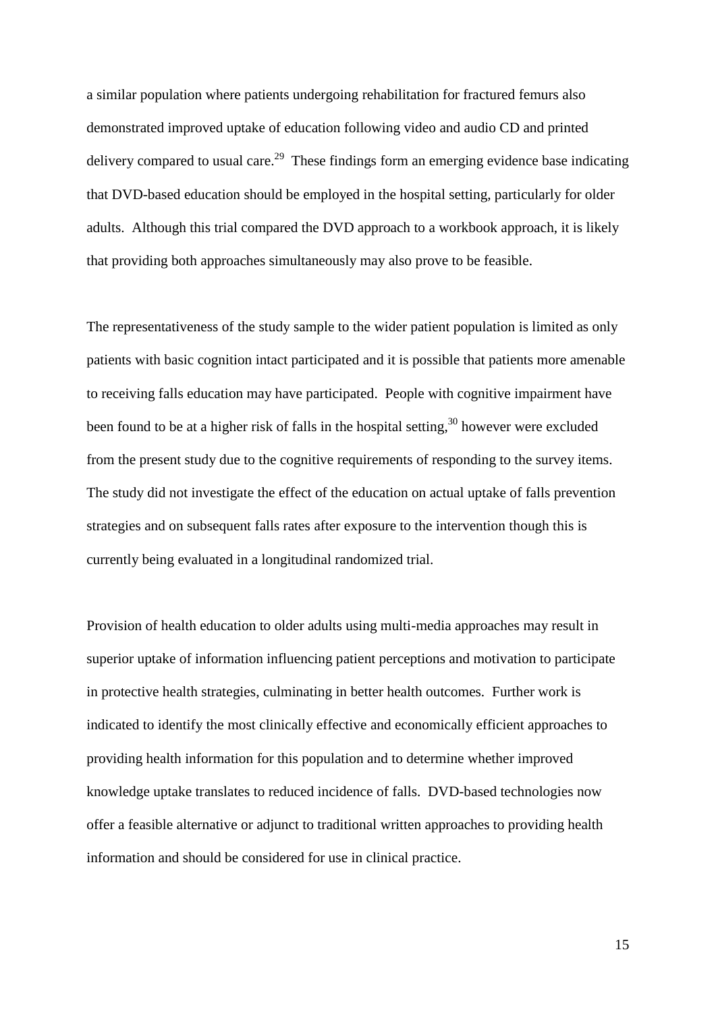a similar population where patients undergoing rehabilitation for fractured femurs also demonstrated improved uptake of education following video and audio CD and printed delivery compared to usual care.<sup>29</sup> These findings form an emerging evidence base indicating that DVD-based education should be employed in the hospital setting, particularly for older adults. Although this trial compared the DVD approach to a workbook approach, it is likely that providing both approaches simultaneously may also prove to be feasible.

The representativeness of the study sample to the wider patient population is limited as only patients with basic cognition intact participated and it is possible that patients more amenable to receiving falls education may have participated. People with cognitive impairment have been found to be at a higher risk of falls in the hospital setting,  $30$  however were excluded from the present study due to the cognitive requirements of responding to the survey items. The study did not investigate the effect of the education on actual uptake of falls prevention strategies and on subsequent falls rates after exposure to the intervention though this is currently being evaluated in a longitudinal randomized trial.

Provision of health education to older adults using multi-media approaches may result in superior uptake of information influencing patient perceptions and motivation to participate in protective health strategies, culminating in better health outcomes. Further work is indicated to identify the most clinically effective and economically efficient approaches to providing health information for this population and to determine whether improved knowledge uptake translates to reduced incidence of falls. DVD-based technologies now offer a feasible alternative or adjunct to traditional written approaches to providing health information and should be considered for use in clinical practice.

15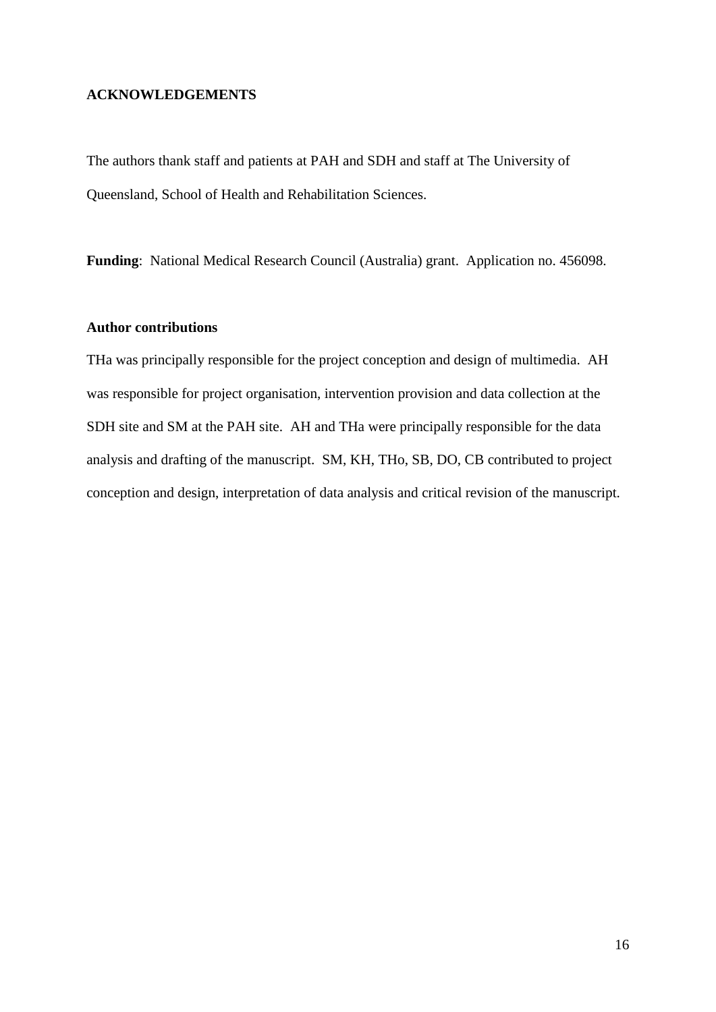#### **ACKNOWLEDGEMENTS**

The authors thank staff and patients at PAH and SDH and staff at The University of Queensland, School of Health and Rehabilitation Sciences.

**Funding**: National Medical Research Council (Australia) grant. Application no. 456098.

### **Author contributions**

THa was principally responsible for the project conception and design of multimedia. AH was responsible for project organisation, intervention provision and data collection at the SDH site and SM at the PAH site. AH and THa were principally responsible for the data analysis and drafting of the manuscript. SM, KH, THo, SB, DO, CB contributed to project conception and design, interpretation of data analysis and critical revision of the manuscript.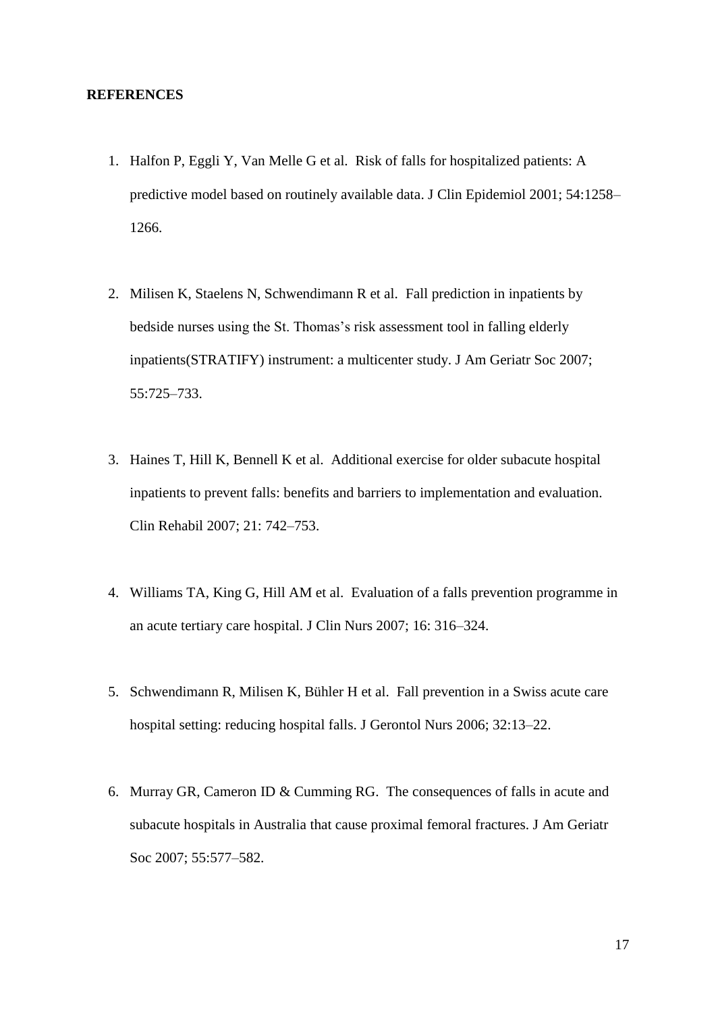#### **REFERENCES**

- 1. Halfon P, Eggli Y, Van Melle G et al. Risk of falls for hospitalized patients: A predictive model based on routinely available data. J Clin Epidemiol 2001; 54:1258– 1266.
- 2. Milisen K, Staelens N, Schwendimann R et al. Fall prediction in inpatients by bedside nurses using the St. Thomas's risk assessment tool in falling elderly inpatients(STRATIFY) instrument: a multicenter study. J Am Geriatr Soc 2007; 55:725–733.
- 3. Haines T, Hill K, Bennell K et al. Additional exercise for older subacute hospital inpatients to prevent falls: benefits and barriers to implementation and evaluation. Clin Rehabil 2007; 21: 742–753.
- 4. Williams TA, King G, Hill AM et al. Evaluation of a falls prevention programme in an acute tertiary care hospital. J Clin Nurs 2007; 16: 316–324.
- 5. Schwendimann R, Milisen K, Bühler H et al. Fall prevention in a Swiss acute care hospital setting: reducing hospital falls. J Gerontol Nurs 2006; 32:13–22.
- 6. Murray GR, Cameron ID & Cumming RG. The consequences of falls in acute and subacute hospitals in Australia that cause proximal femoral fractures. J Am Geriatr Soc 2007; 55:577–582.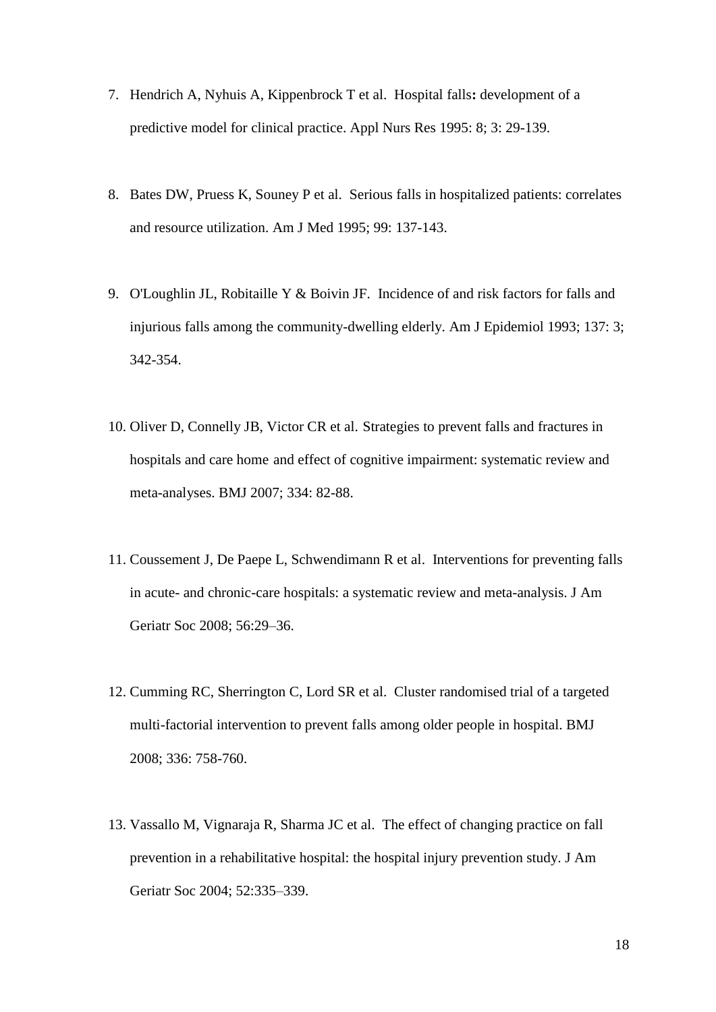- 7. Hendrich A, Nyhuis A, Kippenbrock T et al. Hospital falls**:** development of a predictive model for clinical practice. Appl Nurs Res 1995: 8; 3: 29-139.
- 8. Bates DW, Pruess K, Souney P et al. Serious falls in hospitalized patients: correlates and resource utilization. Am J Med 1995; 99: 137-143.
- 9. O'Loughlin JL, Robitaille Y & Boivin JF. Incidence of and risk factors for falls and injurious falls among the community-dwelling elderly. Am J Epidemiol 1993; 137: 3; 342-354.
- 10. Oliver D, Connelly JB, Victor CR et al. Strategies to prevent falls and fractures in hospitals and care home and effect of cognitive impairment: systematic review and meta-analyses. BMJ 2007; 334: 82-88.
- 11. Coussement J, De Paepe L, Schwendimann R et al. Interventions for preventing falls in acute- and chronic-care hospitals: a systematic review and meta-analysis. J Am Geriatr Soc 2008; 56:29–36.
- 12. Cumming RC, Sherrington C, Lord SR et al. Cluster randomised trial of a targeted multi-factorial intervention to prevent falls among older people in hospital. BMJ 2008; 336: 758-760.
- 13. Vassallo M, Vignaraja R, Sharma JC et al. The effect of changing practice on fall prevention in a rehabilitative hospital: the hospital injury prevention study. J Am Geriatr Soc 2004; 52:335–339.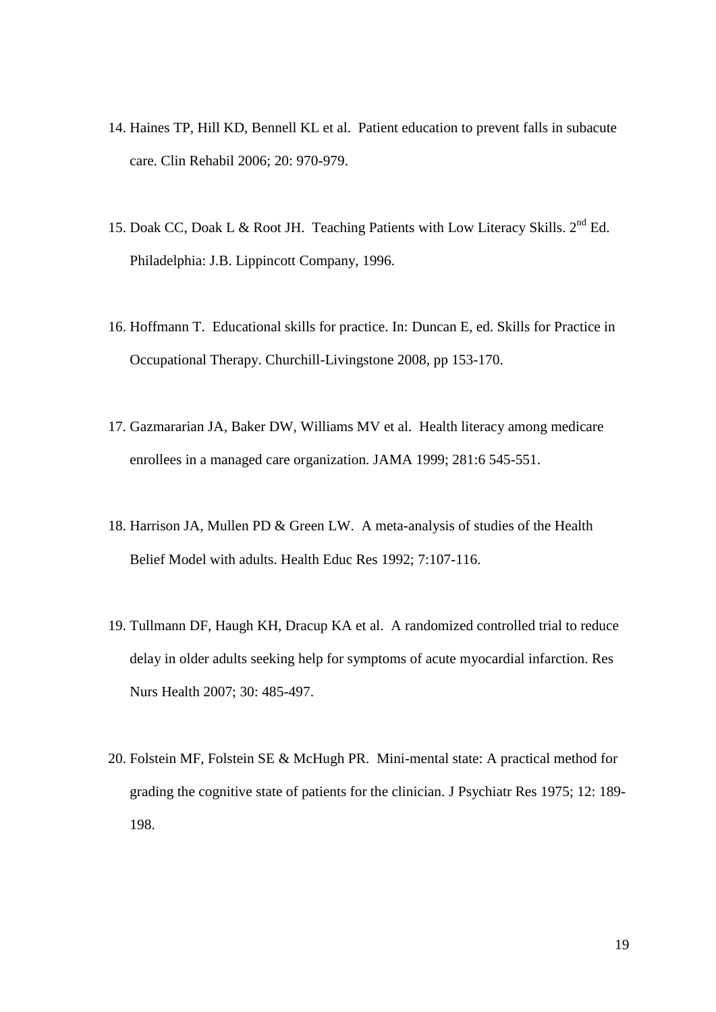- 14. Haines TP, Hill KD, Bennell KL et al. Patient education to prevent falls in subacute care. Clin Rehabil 2006; 20: 970-979.
- 15. Doak CC, Doak L & Root JH. Teaching Patients with Low Literacy Skills. 2<sup>nd</sup> Ed. Philadelphia: J.B. Lippincott Company, 1996.
- 16. Hoffmann T. Educational skills for practice. In: Duncan E, ed. Skills for Practice in Occupational Therapy. Churchill-Livingstone 2008, pp 153-170.
- 17. Gazmararian JA, Baker DW, Williams MV et al. Health literacy among medicare enrollees in a managed care organization. JAMA 1999; 281:6 545-551.
- 18. Harrison JA, Mullen PD & Green LW. A meta-analysis of studies of the Health Belief Model with adults. Health Educ Res 1992; 7:107-116.
- 19. Tullmann DF, Haugh KH, Dracup KA et al. A randomized controlled trial to reduce delay in older adults seeking help for symptoms of acute myocardial infarction. Res Nurs Health 2007; 30: 485-497.
- 20. Folstein MF, Folstein SE & McHugh PR. Mini-mental state: A practical method for grading the cognitive state of patients for the clinician. J Psychiatr Res 1975; 12: 189- 198.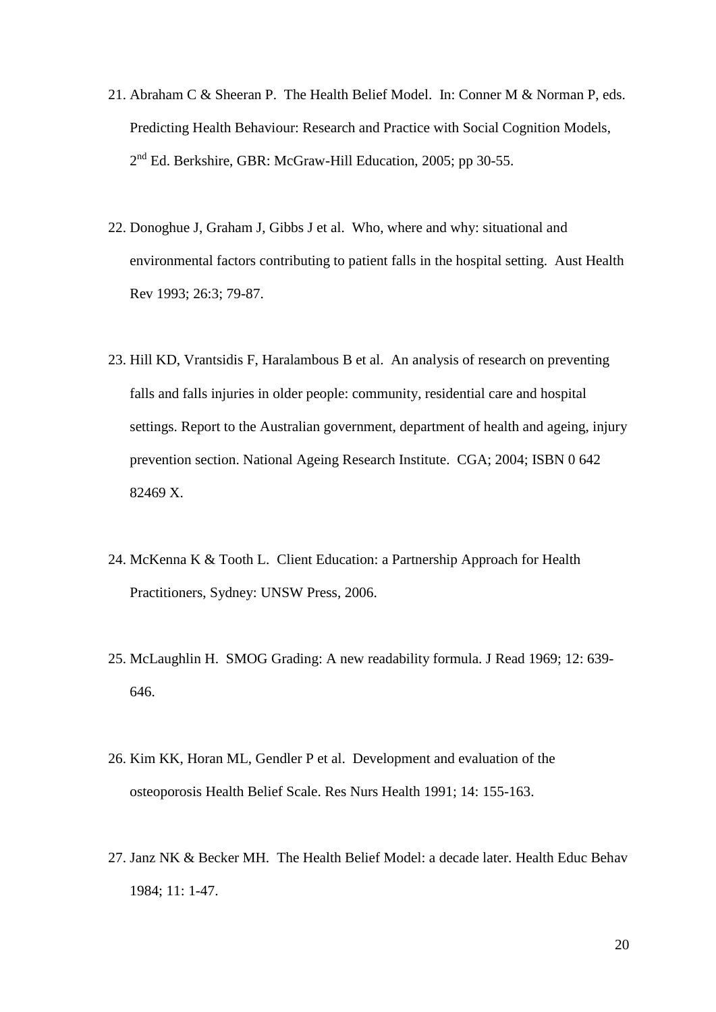- 21. Abraham C & Sheeran P. The Health Belief Model. In: Conner M & Norman P, eds. Predicting Health Behaviour: Research and Practice with Social Cognition Models, 2<sup>nd</sup> Ed. Berkshire, GBR: McGraw-Hill Education, 2005; pp 30-55.
- 22. Donoghue J, Graham J, Gibbs J et al. Who, where and why: situational and environmental factors contributing to patient falls in the hospital setting. Aust Health Rev 1993; 26:3; 79-87.
- 23. Hill KD, Vrantsidis F, Haralambous B et al. An analysis of research on preventing falls and falls injuries in older people: community, residential care and hospital settings. Report to the Australian government, department of health and ageing, injury prevention section. National Ageing Research Institute. CGA; 2004; ISBN 0 642 82469 X.
- 24. McKenna K & Tooth L. Client Education: a Partnership Approach for Health Practitioners, Sydney: UNSW Press, 2006.
- 25. McLaughlin H. SMOG Grading: A new readability formula. J Read 1969; 12: 639- 646.
- 26. Kim KK, Horan ML, Gendler P et al. Development and evaluation of the osteoporosis Health Belief Scale. Res Nurs Health 1991; 14: 155-163.
- 27. Janz NK & Becker MH. The Health Belief Model: a decade later. Health Educ Behav 1984; 11: 1-47.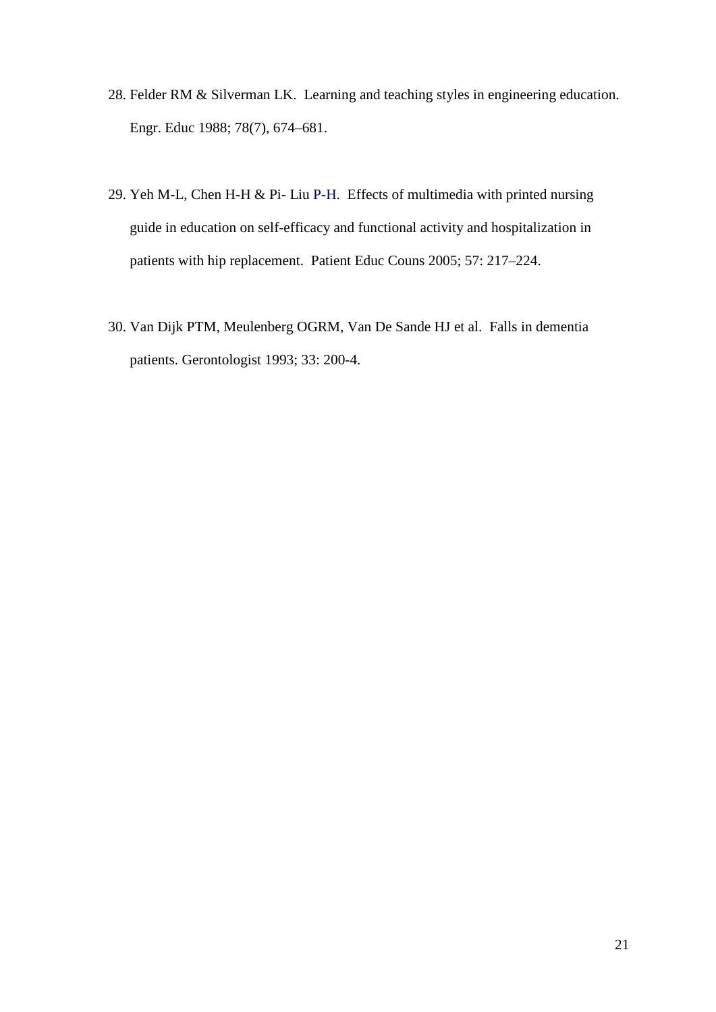- 28. Felder RM & Silverman LK. Learning and teaching styles in engineering education. Engr. Educ 1988; 78(7), 674–681.
- 29. Yeh M-L, Chen H-H & Pi- Liu P-H. Effects of multimedia with printed nursing guide in education on self-efficacy and functional activity and hospitalization in patients with hip replacement. Patient Educ Couns 2005; 57: 217–224.
- 30. Van Dijk PTM, Meulenberg OGRM, Van De Sande HJ et al. Falls in dementia patients. Gerontologist 1993; 33: 200-4.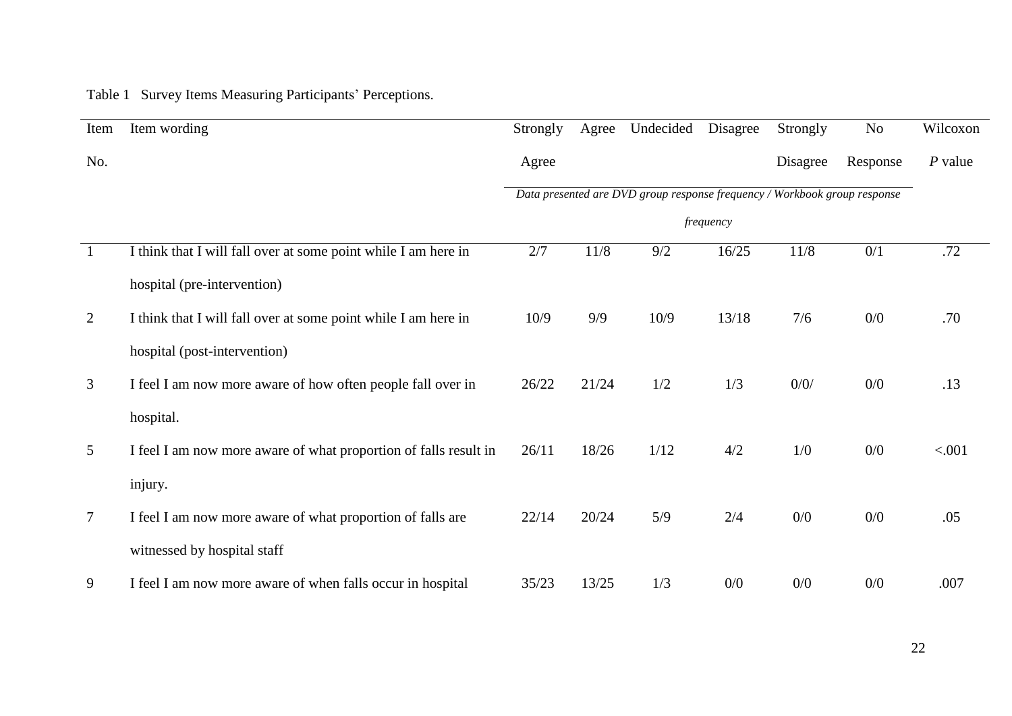|  |  | Table 1 Survey Items Measuring Participants' Perceptions. |
|--|--|-----------------------------------------------------------|
|  |  |                                                           |

| Item            | Item wording                                                     | Strongly                                                                  | Agree  | Undecided | Disagree | Strongly | No       | Wilcoxon  |  |
|-----------------|------------------------------------------------------------------|---------------------------------------------------------------------------|--------|-----------|----------|----------|----------|-----------|--|
| No.             |                                                                  | Agree                                                                     |        |           |          | Disagree | Response | $P$ value |  |
|                 |                                                                  | Data presented are DVD group response frequency / Workbook group response |        |           |          |          |          |           |  |
|                 |                                                                  | frequency                                                                 |        |           |          |          |          |           |  |
| $\mathbf{1}$    | I think that I will fall over at some point while I am here in   | 2/7                                                                       | $11/8$ | 9/2       | 16/25    | $11/8$   | 0/1      | .72       |  |
|                 | hospital (pre-intervention)                                      |                                                                           |        |           |          |          |          |           |  |
| 2               | I think that I will fall over at some point while I am here in   | 10/9                                                                      | 9/9    | 10/9      | 13/18    | 7/6      | 0/0      | .70       |  |
|                 | hospital (post-intervention)                                     |                                                                           |        |           |          |          |          |           |  |
| $\mathfrak{Z}$  | I feel I am now more aware of how often people fall over in      | 26/22                                                                     | 21/24  | 1/2       | 1/3      | 0/0/     | 0/0      | .13       |  |
|                 | hospital.                                                        |                                                                           |        |           |          |          |          |           |  |
| $5\overline{)}$ | I feel I am now more aware of what proportion of falls result in | 26/11                                                                     | 18/26  | 1/12      | 4/2      | 1/0      | 0/0      | < .001    |  |
|                 | injury.                                                          |                                                                           |        |           |          |          |          |           |  |
| $\tau$          | I feel I am now more aware of what proportion of falls are       | 22/14                                                                     | 20/24  | 5/9       | 2/4      | 0/0      | 0/0      | .05       |  |
|                 | witnessed by hospital staff                                      |                                                                           |        |           |          |          |          |           |  |
| 9               | I feel I am now more aware of when falls occur in hospital       | 35/23                                                                     | 13/25  | 1/3       | 0/0      | 0/0      | 0/0      | .007      |  |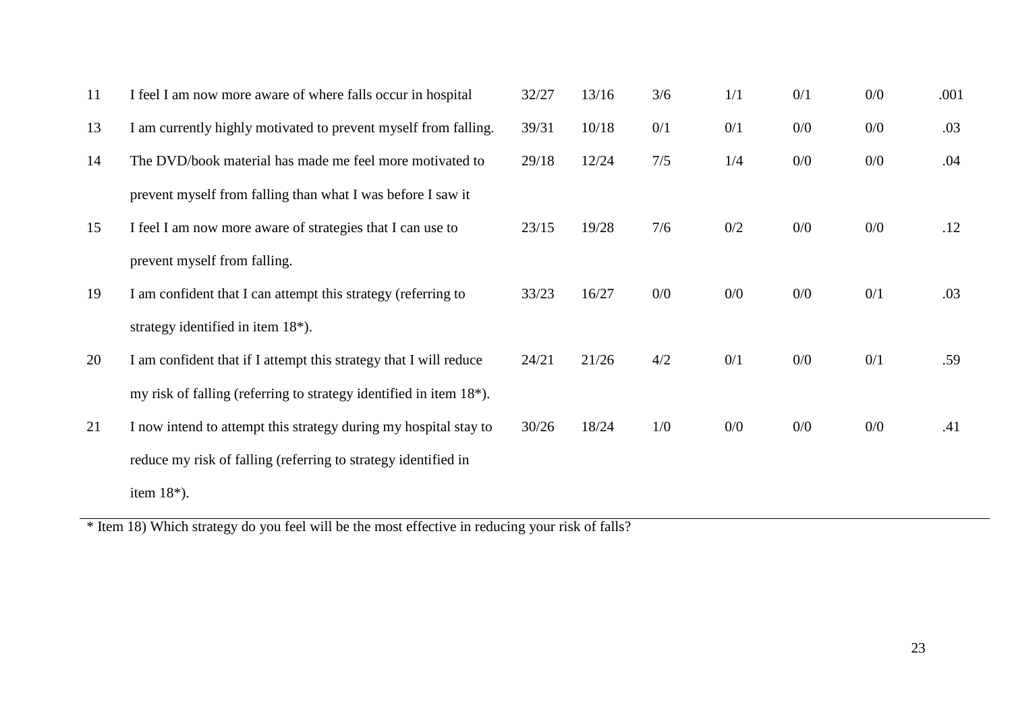| 11 | I feel I am now more aware of where falls occur in hospital                     | 32/27 | 13/16 | 3/6 | 1/1 | 0/1 | 0/0 | .001 |
|----|---------------------------------------------------------------------------------|-------|-------|-----|-----|-----|-----|------|
| 13 | I am currently highly motivated to prevent myself from falling.                 | 39/31 | 10/18 | 0/1 | 0/1 | 0/0 | 0/0 | .03  |
| 14 | The DVD/book material has made me feel more motivated to                        | 29/18 | 12/24 | 7/5 | 1/4 | 0/0 | 0/0 | .04  |
|    | prevent myself from falling than what I was before I saw it                     |       |       |     |     |     |     |      |
| 15 | I feel I am now more aware of strategies that I can use to                      | 23/15 | 19/28 | 7/6 | 0/2 | 0/0 | 0/0 | .12  |
|    | prevent myself from falling.                                                    |       |       |     |     |     |     |      |
| 19 | I am confident that I can attempt this strategy (referring to                   | 33/23 | 16/27 | 0/0 | 0/0 | 0/0 | 0/1 | .03  |
|    | strategy identified in item $18^*$ ).                                           |       |       |     |     |     |     |      |
| 20 | I am confident that if I attempt this strategy that I will reduce               | 24/21 | 21/26 | 4/2 | 0/1 | 0/0 | 0/1 | .59  |
|    | my risk of falling (referring to strategy identified in item 18 <sup>*</sup> ). |       |       |     |     |     |     |      |
| 21 | I now intend to attempt this strategy during my hospital stay to                | 30/26 | 18/24 | 1/0 | 0/0 | 0/0 | 0/0 | .41  |
|    | reduce my risk of falling (referring to strategy identified in                  |       |       |     |     |     |     |      |
|    | item $18^*$ ).                                                                  |       |       |     |     |     |     |      |

\* Item 18) Which strategy do you feel will be the most effective in reducing your risk of falls?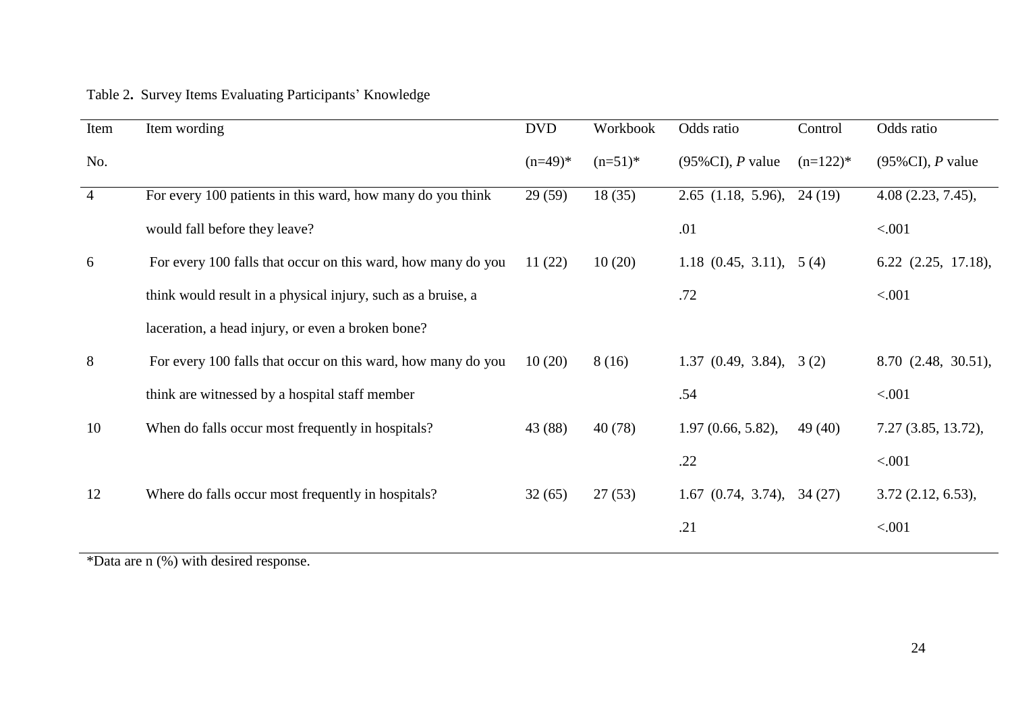| Item           | Item wording                                                 | <b>DVD</b> | Workbook   | Odds ratio                       | Control    |                          |
|----------------|--------------------------------------------------------------|------------|------------|----------------------------------|------------|--------------------------|
| No.            |                                                              | $(n=49)*$  | $(n=51)^*$ | $(95\%CI)$ , P value             | $(n=122)*$ | $(95\%CI)$ , P value     |
| $\overline{4}$ | For every 100 patients in this ward, how many do you think   | 29(59)     | 18(35)     | $2.65$ (1.18, 5.96), 24 (19)     |            | 4.08 (2.23, 7.45),       |
|                | would fall before they leave?                                |            |            | .01                              |            | < .001                   |
| 6              | For every 100 falls that occur on this ward, how many do you | 11(22)     | 10(20)     | 1.18 $(0.45, 3.11), 5(4)$        |            | $6.22$ $(2.25, 17.18)$ , |
|                | think would result in a physical injury, such as a bruise, a |            |            | .72                              |            | < .001                   |
|                | laceration, a head injury, or even a broken bone?            |            |            |                                  |            |                          |
| 8              | For every 100 falls that occur on this ward, how many do you | 10(20)     | 8(16)      | $1.37$ $(0.49, 3.84), 3(2)$      |            | 8.70 (2.48, 30.51),      |
|                | think are witnessed by a hospital staff member               |            |            | .54                              |            | < .001                   |
| 10             | When do falls occur most frequently in hospitals?            | 43 (88)    | 40(78)     | 1.97(0.66, 5.82),                | 49(40)     | $7.27$ $(3.85, 13.72),$  |
|                |                                                              |            |            | .22                              |            | < .001                   |
| 12             | Where do falls occur most frequently in hospitals?           | 32(65)     | 27(53)     | $1.67$ $(0.74, 3.74), 34$ $(27)$ |            | 3.72(2.12, 6.53),        |
|                |                                                              |            |            | .21                              |            | < .001                   |

# Table 2**.** Survey Items Evaluating Participants' Knowledge

\*Data are n (%) with desired response.